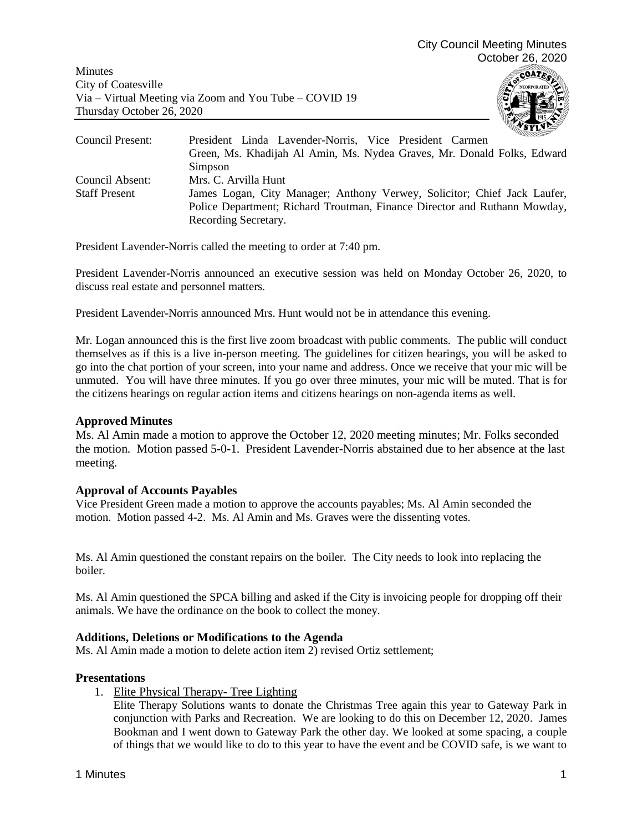Minutes City of Coatesville Via – Virtual Meeting via Zoom and You Tube – COVID 19 Thursday October 26, 2020



| Council Present:     | President Linda Lavender-Norris, Vice President Carmen                    |
|----------------------|---------------------------------------------------------------------------|
|                      | Green, Ms. Khadijah Al Amin, Ms. Nydea Graves, Mr. Donald Folks, Edward   |
|                      | Simpson                                                                   |
| Council Absent:      | Mrs. C. Arvilla Hunt                                                      |
| <b>Staff Present</b> | James Logan, City Manager; Anthony Verwey, Solicitor; Chief Jack Laufer,  |
|                      | Police Department; Richard Troutman, Finance Director and Ruthann Mowday, |
|                      | Recording Secretary.                                                      |

President Lavender-Norris called the meeting to order at 7:40 pm.

President Lavender-Norris announced an executive session was held on Monday October 26, 2020, to discuss real estate and personnel matters.

President Lavender-Norris announced Mrs. Hunt would not be in attendance this evening.

Mr. Logan announced this is the first live zoom broadcast with public comments. The public will conduct themselves as if this is a live in-person meeting. The guidelines for citizen hearings, you will be asked to go into the chat portion of your screen, into your name and address. Once we receive that your mic will be unmuted. You will have three minutes. If you go over three minutes, your mic will be muted. That is for the citizens hearings on regular action items and citizens hearings on non-agenda items as well.

### **Approved Minutes**

Ms. Al Amin made a motion to approve the October 12, 2020 meeting minutes; Mr. Folks seconded the motion. Motion passed 5-0-1. President Lavender-Norris abstained due to her absence at the last meeting.

### **Approval of Accounts Payables**

Vice President Green made a motion to approve the accounts payables; Ms. Al Amin seconded the motion. Motion passed 4-2. Ms. Al Amin and Ms. Graves were the dissenting votes.

Ms. Al Amin questioned the constant repairs on the boiler. The City needs to look into replacing the boiler.

Ms. Al Amin questioned the SPCA billing and asked if the City is invoicing people for dropping off their animals. We have the ordinance on the book to collect the money.

### **Additions, Deletions or Modifications to the Agenda**

Ms. Al Amin made a motion to delete action item 2) revised Ortiz settlement;

### **Presentations**

1. Elite Physical Therapy- Tree Lighting

Elite Therapy Solutions wants to donate the Christmas Tree again this year to Gateway Park in conjunction with Parks and Recreation. We are looking to do this on December 12, 2020. James Bookman and I went down to Gateway Park the other day. We looked at some spacing, a couple of things that we would like to do to this year to have the event and be COVID safe, is we want to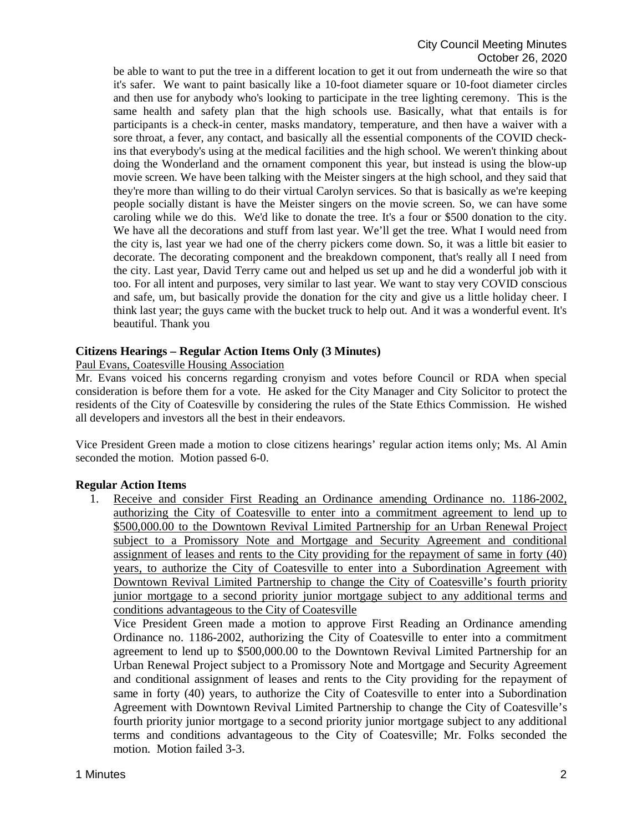be able to want to put the tree in a different location to get it out from underneath the wire so that it's safer. We want to paint basically like a 10-foot diameter square or 10-foot diameter circles and then use for anybody who's looking to participate in the tree lighting ceremony. This is the same health and safety plan that the high schools use. Basically, what that entails is for participants is a check-in center, masks mandatory, temperature, and then have a waiver with a sore throat, a fever, any contact, and basically all the essential components of the COVID checkins that everybody's using at the medical facilities and the high school. We weren't thinking about doing the Wonderland and the ornament component this year, but instead is using the blow-up movie screen. We have been talking with the Meister singers at the high school, and they said that they're more than willing to do their virtual Carolyn services. So that is basically as we're keeping people socially distant is have the Meister singers on the movie screen. So, we can have some caroling while we do this. We'd like to donate the tree. It's a four or \$500 donation to the city. We have all the decorations and stuff from last year. We'll get the tree. What I would need from the city is, last year we had one of the cherry pickers come down. So, it was a little bit easier to decorate. The decorating component and the breakdown component, that's really all I need from the city. Last year, David Terry came out and helped us set up and he did a wonderful job with it too. For all intent and purposes, very similar to last year. We want to stay very COVID conscious and safe, um, but basically provide the donation for the city and give us a little holiday cheer. I think last year; the guys came with the bucket truck to help out. And it was a wonderful event. It's beautiful. Thank you

# **Citizens Hearings – Regular Action Items Only (3 Minutes)**

Paul Evans, Coatesville Housing Association

Mr. Evans voiced his concerns regarding cronyism and votes before Council or RDA when special consideration is before them for a vote. He asked for the City Manager and City Solicitor to protect the residents of the City of Coatesville by considering the rules of the State Ethics Commission. He wished all developers and investors all the best in their endeavors.

Vice President Green made a motion to close citizens hearings' regular action items only; Ms. Al Amin seconded the motion. Motion passed 6-0.

# **Regular Action Items**

1. Receive and consider First Reading an Ordinance amending Ordinance no. 1186-2002, authorizing the City of Coatesville to enter into a commitment agreement to lend up to \$500,000.00 to the Downtown Revival Limited Partnership for an Urban Renewal Project subject to a Promissory Note and Mortgage and Security Agreement and conditional assignment of leases and rents to the City providing for the repayment of same in forty (40) years, to authorize the City of Coatesville to enter into a Subordination Agreement with Downtown Revival Limited Partnership to change the City of Coatesville's fourth priority junior mortgage to a second priority junior mortgage subject to any additional terms and conditions advantageous to the City of Coatesville

Vice President Green made a motion to approve First Reading an Ordinance amending Ordinance no. 1186-2002, authorizing the City of Coatesville to enter into a commitment agreement to lend up to \$500,000.00 to the Downtown Revival Limited Partnership for an Urban Renewal Project subject to a Promissory Note and Mortgage and Security Agreement and conditional assignment of leases and rents to the City providing for the repayment of same in forty (40) years, to authorize the City of Coatesville to enter into a Subordination Agreement with Downtown Revival Limited Partnership to change the City of Coatesville's fourth priority junior mortgage to a second priority junior mortgage subject to any additional terms and conditions advantageous to the City of Coatesville; Mr. Folks seconded the motion. Motion failed 3-3.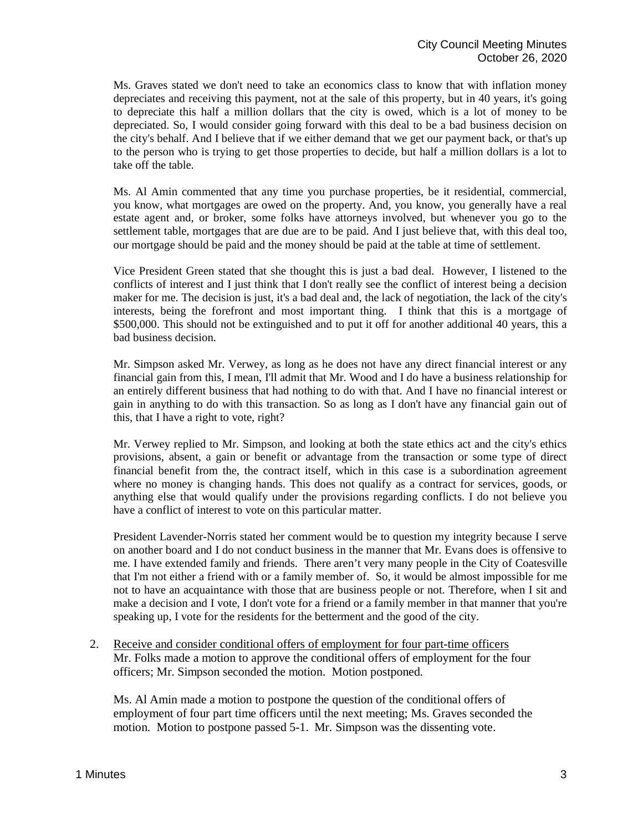Ms. Graves stated we don't need to take an economics class to know that with inflation money depreciates and receiving this payment, not at the sale of this property, but in 40 years, it's going to depreciate this half a million dollars that the city is owed, which is a lot of money to be depreciated. So, I would consider going forward with this deal to be a bad business decision on the city's behalf. And I believe that if we either demand that we get our payment back, or that's up to the person who is trying to get those properties to decide, but half a million dollars is a lot to take off the table.

Ms. Al Amin commented that any time you purchase properties, be it residential, commercial, you know, what mortgages are owed on the property. And, you know, you generally have a real estate agent and, or broker, some folks have attorneys involved, but whenever you go to the settlement table, mortgages that are due are to be paid. And I just believe that, with this deal too, our mortgage should be paid and the money should be paid at the table at time of settlement.

Vice President Green stated that she thought this is just a bad deal. However, I listened to the conflicts of interest and I just think that I don't really see the conflict of interest being a decision maker for me. The decision is just, it's a bad deal and, the lack of negotiation, the lack of the city's interests, being the forefront and most important thing. I think that this is a mortgage of \$500,000. This should not be extinguished and to put it off for another additional 40 years, this a bad business decision.

Mr. Simpson asked Mr. Verwey, as long as he does not have any direct financial interest or any financial gain from this, I mean, I'll admit that Mr. Wood and I do have a business relationship for an entirely different business that had nothing to do with that. And I have no financial interest or gain in anything to do with this transaction. So as long as I don't have any financial gain out of this, that I have a right to vote, right?

Mr. Verwey replied to Mr. Simpson, and looking at both the state ethics act and the city's ethics provisions, absent, a gain or benefit or advantage from the transaction or some type of direct financial benefit from the, the contract itself, which in this case is a subordination agreement where no money is changing hands. This does not qualify as a contract for services, goods, or anything else that would qualify under the provisions regarding conflicts. I do not believe you have a conflict of interest to vote on this particular matter.

President Lavender-Norris stated her comment would be to question my integrity because I serve on another board and I do not conduct business in the manner that Mr. Evans does is offensive to me. I have extended family and friends. There aren't very many people in the City of Coatesville that I'm not either a friend with or a family member of. So, it would be almost impossible for me not to have an acquaintance with those that are business people or not. Therefore, when I sit and make a decision and I vote, I don't vote for a friend or a family member in that manner that you're speaking up, I vote for the residents for the betterment and the good of the city.

2. Receive and consider conditional offers of employment for four part-time officers Mr. Folks made a motion to approve the conditional offers of employment for the four officers; Mr. Simpson seconded the motion. Motion postponed.

Ms. Al Amin made a motion to postpone the question of the conditional offers of employment of four part time officers until the next meeting; Ms. Graves seconded the motion. Motion to postpone passed 5-1. Mr. Simpson was the dissenting vote.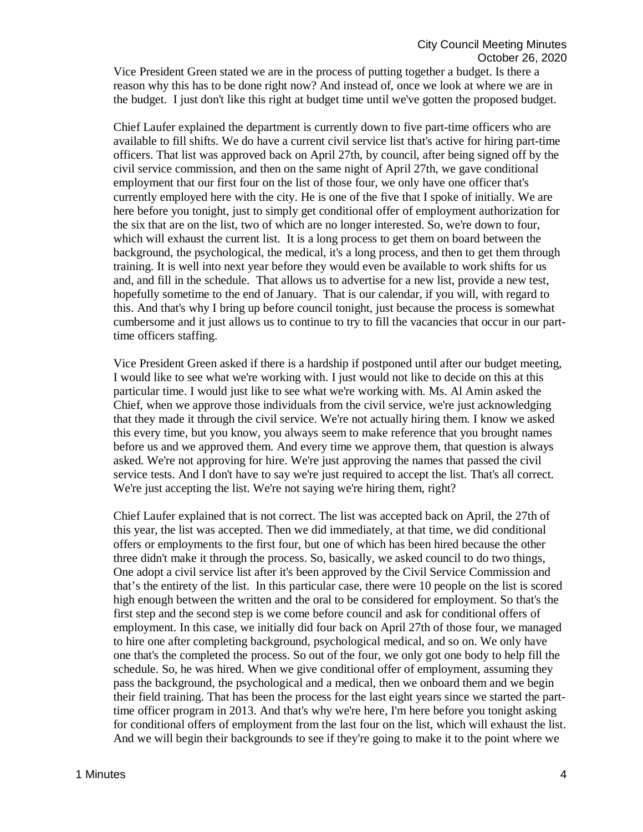Vice President Green stated we are in the process of putting together a budget. Is there a reason why this has to be done right now? And instead of, once we look at where we are in the budget. I just don't like this right at budget time until we've gotten the proposed budget.

Chief Laufer explained the department is currently down to five part-time officers who are available to fill shifts. We do have a current civil service list that's active for hiring part-time officers. That list was approved back on April 27th, by council, after being signed off by the civil service commission, and then on the same night of April 27th, we gave conditional employment that our first four on the list of those four, we only have one officer that's currently employed here with the city. He is one of the five that I spoke of initially. We are here before you tonight, just to simply get conditional offer of employment authorization for the six that are on the list, two of which are no longer interested. So, we're down to four, which will exhaust the current list. It is a long process to get them on board between the background, the psychological, the medical, it's a long process, and then to get them through training. It is well into next year before they would even be available to work shifts for us and, and fill in the schedule. That allows us to advertise for a new list, provide a new test, hopefully sometime to the end of January. That is our calendar, if you will, with regard to this. And that's why I bring up before council tonight, just because the process is somewhat cumbersome and it just allows us to continue to try to fill the vacancies that occur in our parttime officers staffing.

Vice President Green asked if there is a hardship if postponed until after our budget meeting, I would like to see what we're working with. I just would not like to decide on this at this particular time. I would just like to see what we're working with. Ms. Al Amin asked the Chief, when we approve those individuals from the civil service, we're just acknowledging that they made it through the civil service. We're not actually hiring them. I know we asked this every time, but you know, you always seem to make reference that you brought names before us and we approved them. And every time we approve them, that question is always asked. We're not approving for hire. We're just approving the names that passed the civil service tests. And I don't have to say we're just required to accept the list. That's all correct. We're just accepting the list. We're not saying we're hiring them, right?

Chief Laufer explained that is not correct. The list was accepted back on April, the 27th of this year, the list was accepted. Then we did immediately, at that time, we did conditional offers or employments to the first four, but one of which has been hired because the other three didn't make it through the process. So, basically, we asked council to do two things, One adopt a civil service list after it's been approved by the Civil Service Commission and that's the entirety of the list. In this particular case, there were 10 people on the list is scored high enough between the written and the oral to be considered for employment. So that's the first step and the second step is we come before council and ask for conditional offers of employment. In this case, we initially did four back on April 27th of those four, we managed to hire one after completing background, psychological medical, and so on. We only have one that's the completed the process. So out of the four, we only got one body to help fill the schedule. So, he was hired. When we give conditional offer of employment, assuming they pass the background, the psychological and a medical, then we onboard them and we begin their field training. That has been the process for the last eight years since we started the parttime officer program in 2013. And that's why we're here, I'm here before you tonight asking for conditional offers of employment from the last four on the list, which will exhaust the list. And we will begin their backgrounds to see if they're going to make it to the point where we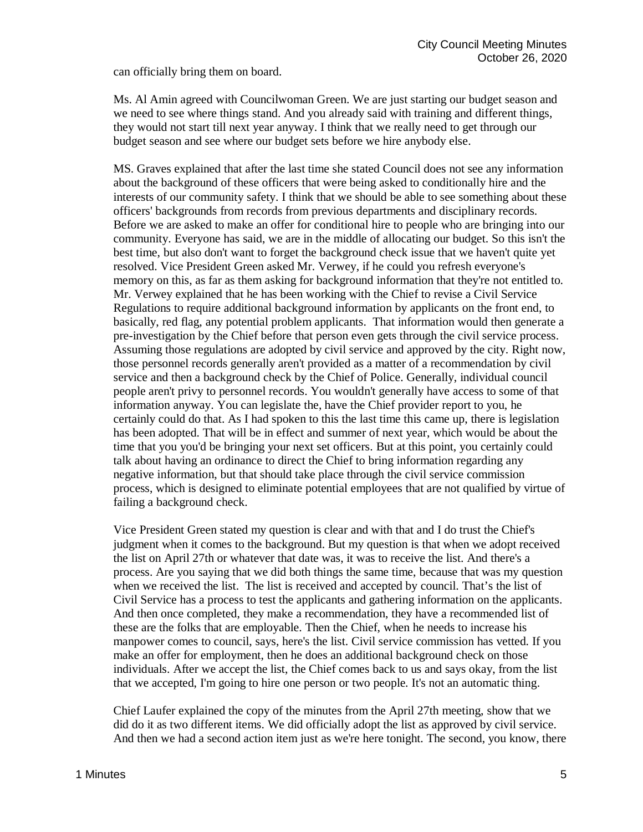can officially bring them on board.

Ms. Al Amin agreed with Councilwoman Green. We are just starting our budget season and we need to see where things stand. And you already said with training and different things, they would not start till next year anyway. I think that we really need to get through our budget season and see where our budget sets before we hire anybody else.

MS. Graves explained that after the last time she stated Council does not see any information about the background of these officers that were being asked to conditionally hire and the interests of our community safety. I think that we should be able to see something about these officers' backgrounds from records from previous departments and disciplinary records. Before we are asked to make an offer for conditional hire to people who are bringing into our community. Everyone has said, we are in the middle of allocating our budget. So this isn't the best time, but also don't want to forget the background check issue that we haven't quite yet resolved. Vice President Green asked Mr. Verwey, if he could you refresh everyone's memory on this, as far as them asking for background information that they're not entitled to. Mr. Verwey explained that he has been working with the Chief to revise a Civil Service Regulations to require additional background information by applicants on the front end, to basically, red flag, any potential problem applicants. That information would then generate a pre-investigation by the Chief before that person even gets through the civil service process. Assuming those regulations are adopted by civil service and approved by the city. Right now, those personnel records generally aren't provided as a matter of a recommendation by civil service and then a background check by the Chief of Police. Generally, individual council people aren't privy to personnel records. You wouldn't generally have access to some of that information anyway. You can legislate the, have the Chief provider report to you, he certainly could do that. As I had spoken to this the last time this came up, there is legislation has been adopted. That will be in effect and summer of next year, which would be about the time that you you'd be bringing your next set officers. But at this point, you certainly could talk about having an ordinance to direct the Chief to bring information regarding any negative information, but that should take place through the civil service commission process, which is designed to eliminate potential employees that are not qualified by virtue of failing a background check.

Vice President Green stated my question is clear and with that and I do trust the Chief's judgment when it comes to the background. But my question is that when we adopt received the list on April 27th or whatever that date was, it was to receive the list. And there's a process. Are you saying that we did both things the same time, because that was my question when we received the list. The list is received and accepted by council. That's the list of Civil Service has a process to test the applicants and gathering information on the applicants. And then once completed, they make a recommendation, they have a recommended list of these are the folks that are employable. Then the Chief, when he needs to increase his manpower comes to council, says, here's the list. Civil service commission has vetted. If you make an offer for employment, then he does an additional background check on those individuals. After we accept the list, the Chief comes back to us and says okay, from the list that we accepted, I'm going to hire one person or two people. It's not an automatic thing.

Chief Laufer explained the copy of the minutes from the April 27th meeting, show that we did do it as two different items. We did officially adopt the list as approved by civil service. And then we had a second action item just as we're here tonight. The second, you know, there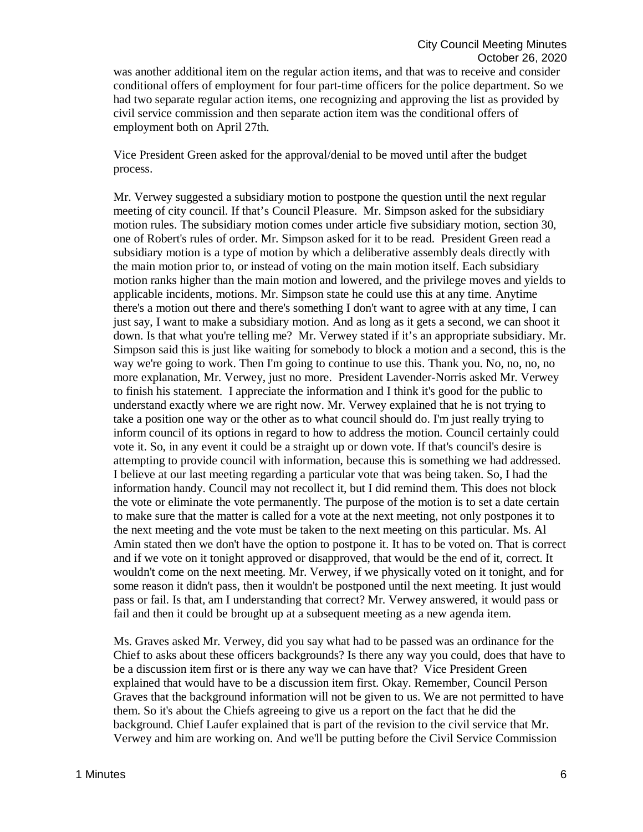was another additional item on the regular action items, and that was to receive and consider conditional offers of employment for four part-time officers for the police department. So we had two separate regular action items, one recognizing and approving the list as provided by civil service commission and then separate action item was the conditional offers of employment both on April 27th.

Vice President Green asked for the approval/denial to be moved until after the budget process.

Mr. Verwey suggested a subsidiary motion to postpone the question until the next regular meeting of city council. If that's Council Pleasure. Mr. Simpson asked for the subsidiary motion rules. The subsidiary motion comes under article five subsidiary motion, section 30, one of Robert's rules of order. Mr. Simpson asked for it to be read. President Green read a subsidiary motion is a type of motion by which a deliberative assembly deals directly with the main motion prior to, or instead of voting on the main motion itself. Each subsidiary motion ranks higher than the main motion and lowered, and the privilege moves and yields to applicable incidents, motions. Mr. Simpson state he could use this at any time. Anytime there's a motion out there and there's something I don't want to agree with at any time, I can just say, I want to make a subsidiary motion. And as long as it gets a second, we can shoot it down. Is that what you're telling me? Mr. Verwey stated if it's an appropriate subsidiary. Mr. Simpson said this is just like waiting for somebody to block a motion and a second, this is the way we're going to work. Then I'm going to continue to use this. Thank you. No, no, no, no more explanation, Mr. Verwey, just no more. President Lavender-Norris asked Mr. Verwey to finish his statement. I appreciate the information and I think it's good for the public to understand exactly where we are right now. Mr. Verwey explained that he is not trying to take a position one way or the other as to what council should do. I'm just really trying to inform council of its options in regard to how to address the motion. Council certainly could vote it. So, in any event it could be a straight up or down vote. If that's council's desire is attempting to provide council with information, because this is something we had addressed. I believe at our last meeting regarding a particular vote that was being taken. So, I had the information handy. Council may not recollect it, but I did remind them. This does not block the vote or eliminate the vote permanently. The purpose of the motion is to set a date certain to make sure that the matter is called for a vote at the next meeting, not only postpones it to the next meeting and the vote must be taken to the next meeting on this particular. Ms. Al Amin stated then we don't have the option to postpone it. It has to be voted on. That is correct and if we vote on it tonight approved or disapproved, that would be the end of it, correct. It wouldn't come on the next meeting. Mr. Verwey, if we physically voted on it tonight, and for some reason it didn't pass, then it wouldn't be postponed until the next meeting. It just would pass or fail. Is that, am I understanding that correct? Mr. Verwey answered, it would pass or fail and then it could be brought up at a subsequent meeting as a new agenda item.

Ms. Graves asked Mr. Verwey, did you say what had to be passed was an ordinance for the Chief to asks about these officers backgrounds? Is there any way you could, does that have to be a discussion item first or is there any way we can have that? Vice President Green explained that would have to be a discussion item first. Okay. Remember, Council Person Graves that the background information will not be given to us. We are not permitted to have them. So it's about the Chiefs agreeing to give us a report on the fact that he did the background. Chief Laufer explained that is part of the revision to the civil service that Mr. Verwey and him are working on. And we'll be putting before the Civil Service Commission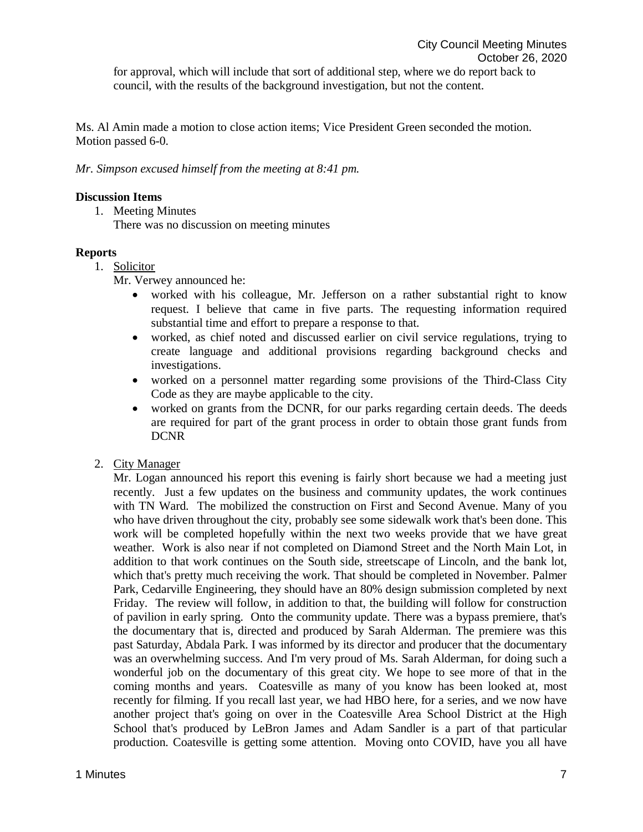Ms. Al Amin made a motion to close action items; Vice President Green seconded the motion. Motion passed 6-0.

*Mr. Simpson excused himself from the meeting at 8:41 pm.* 

# **Discussion Items**

1. Meeting Minutes

There was no discussion on meeting minutes

# **Reports**

1. Solicitor

Mr. Verwey announced he:

- worked with his colleague, Mr. Jefferson on a rather substantial right to know request. I believe that came in five parts. The requesting information required substantial time and effort to prepare a response to that.
- worked, as chief noted and discussed earlier on civil service regulations, trying to create language and additional provisions regarding background checks and investigations.
- worked on a personnel matter regarding some provisions of the Third-Class City Code as they are maybe applicable to the city.
- worked on grants from the DCNR, for our parks regarding certain deeds. The deeds are required for part of the grant process in order to obtain those grant funds from DCNR
- 2. City Manager

Mr. Logan announced his report this evening is fairly short because we had a meeting just recently. Just a few updates on the business and community updates, the work continues with TN Ward. The mobilized the construction on First and Second Avenue. Many of you who have driven throughout the city, probably see some sidewalk work that's been done. This work will be completed hopefully within the next two weeks provide that we have great weather. Work is also near if not completed on Diamond Street and the North Main Lot, in addition to that work continues on the South side, streetscape of Lincoln, and the bank lot, which that's pretty much receiving the work. That should be completed in November. Palmer Park, Cedarville Engineering, they should have an 80% design submission completed by next Friday. The review will follow, in addition to that, the building will follow for construction of pavilion in early spring. Onto the community update. There was a bypass premiere, that's the documentary that is, directed and produced by Sarah Alderman. The premiere was this past Saturday, Abdala Park. I was informed by its director and producer that the documentary was an overwhelming success. And I'm very proud of Ms. Sarah Alderman, for doing such a wonderful job on the documentary of this great city. We hope to see more of that in the coming months and years. Coatesville as many of you know has been looked at, most recently for filming. If you recall last year, we had HBO here, for a series, and we now have another project that's going on over in the Coatesville Area School District at the High School that's produced by LeBron James and Adam Sandler is a part of that particular production. Coatesville is getting some attention. Moving onto COVID, have you all have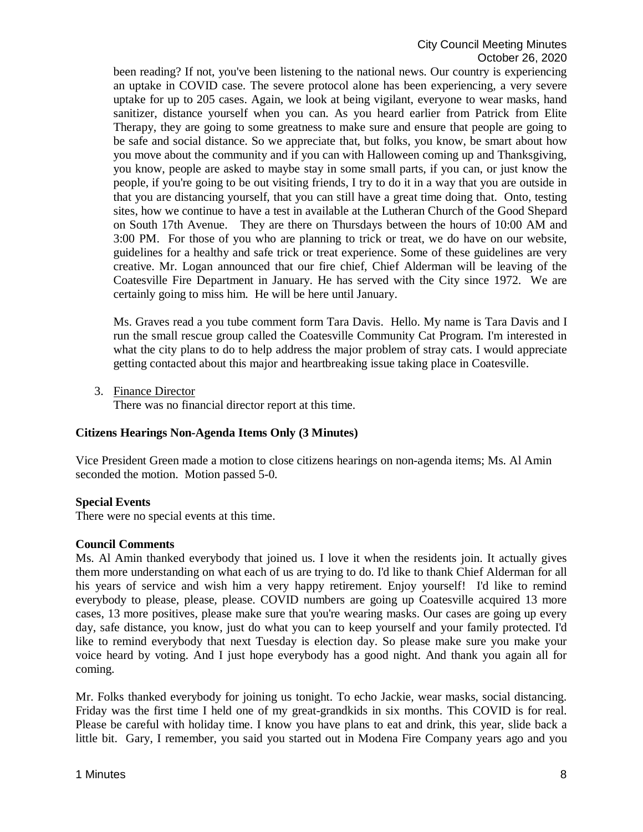been reading? If not, you've been listening to the national news. Our country is experiencing an uptake in COVID case. The severe protocol alone has been experiencing, a very severe uptake for up to 205 cases. Again, we look at being vigilant, everyone to wear masks, hand sanitizer, distance yourself when you can. As you heard earlier from Patrick from Elite Therapy, they are going to some greatness to make sure and ensure that people are going to be safe and social distance. So we appreciate that, but folks, you know, be smart about how you move about the community and if you can with Halloween coming up and Thanksgiving, you know, people are asked to maybe stay in some small parts, if you can, or just know the people, if you're going to be out visiting friends, I try to do it in a way that you are outside in that you are distancing yourself, that you can still have a great time doing that. Onto, testing sites, how we continue to have a test in available at the Lutheran Church of the Good Shepard on South 17th Avenue. They are there on Thursdays between the hours of 10:00 AM and 3:00 PM. For those of you who are planning to trick or treat, we do have on our website, guidelines for a healthy and safe trick or treat experience. Some of these guidelines are very creative. Mr. Logan announced that our fire chief, Chief Alderman will be leaving of the Coatesville Fire Department in January. He has served with the City since 1972. We are certainly going to miss him. He will be here until January.

Ms. Graves read a you tube comment form Tara Davis. Hello. My name is Tara Davis and I run the small rescue group called the Coatesville Community Cat Program. I'm interested in what the city plans to do to help address the major problem of stray cats. I would appreciate getting contacted about this major and heartbreaking issue taking place in Coatesville.

3. Finance Director

There was no financial director report at this time.

# **Citizens Hearings Non-Agenda Items Only (3 Minutes)**

Vice President Green made a motion to close citizens hearings on non-agenda items; Ms. Al Amin seconded the motion. Motion passed 5-0.

# **Special Events**

There were no special events at this time.

### **Council Comments**

Ms. Al Amin thanked everybody that joined us. I love it when the residents join. It actually gives them more understanding on what each of us are trying to do. I'd like to thank Chief Alderman for all his years of service and wish him a very happy retirement. Enjoy yourself! I'd like to remind everybody to please, please, please. COVID numbers are going up Coatesville acquired 13 more cases, 13 more positives, please make sure that you're wearing masks. Our cases are going up every day, safe distance, you know, just do what you can to keep yourself and your family protected. I'd like to remind everybody that next Tuesday is election day. So please make sure you make your voice heard by voting. And I just hope everybody has a good night. And thank you again all for coming.

Mr. Folks thanked everybody for joining us tonight. To echo Jackie, wear masks, social distancing. Friday was the first time I held one of my great-grandkids in six months. This COVID is for real. Please be careful with holiday time. I know you have plans to eat and drink, this year, slide back a little bit. Gary, I remember, you said you started out in Modena Fire Company years ago and you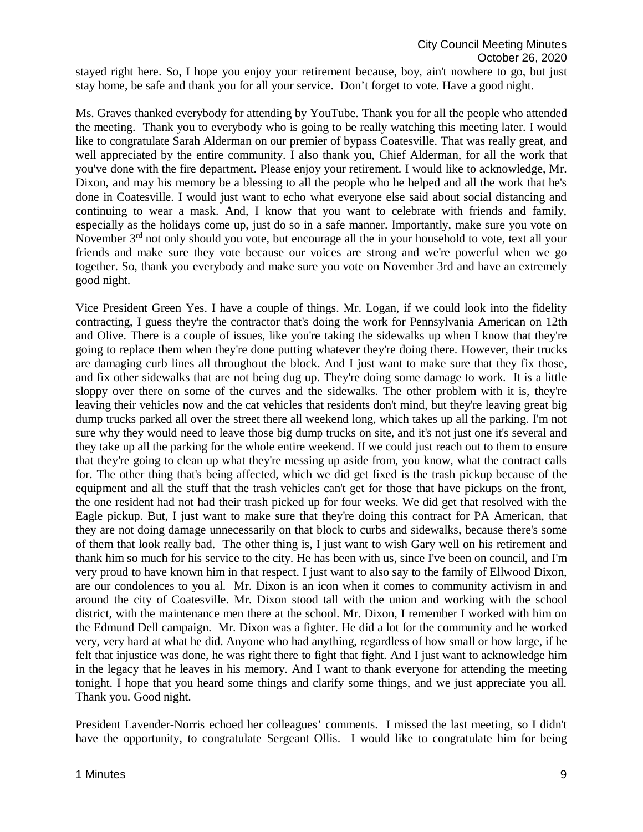stayed right here. So, I hope you enjoy your retirement because, boy, ain't nowhere to go, but just stay home, be safe and thank you for all your service. Don't forget to vote. Have a good night.

Ms. Graves thanked everybody for attending by YouTube. Thank you for all the people who attended the meeting. Thank you to everybody who is going to be really watching this meeting later. I would like to congratulate Sarah Alderman on our premier of bypass Coatesville. That was really great, and well appreciated by the entire community. I also thank you, Chief Alderman, for all the work that you've done with the fire department. Please enjoy your retirement. I would like to acknowledge, Mr. Dixon, and may his memory be a blessing to all the people who he helped and all the work that he's done in Coatesville. I would just want to echo what everyone else said about social distancing and continuing to wear a mask. And, I know that you want to celebrate with friends and family, especially as the holidays come up, just do so in a safe manner. Importantly, make sure you vote on November 3<sup>rd</sup> not only should you vote, but encourage all the in your household to vote, text all your friends and make sure they vote because our voices are strong and we're powerful when we go together. So, thank you everybody and make sure you vote on November 3rd and have an extremely good night.

Vice President Green Yes. I have a couple of things. Mr. Logan, if we could look into the fidelity contracting, I guess they're the contractor that's doing the work for Pennsylvania American on 12th and Olive. There is a couple of issues, like you're taking the sidewalks up when I know that they're going to replace them when they're done putting whatever they're doing there. However, their trucks are damaging curb lines all throughout the block. And I just want to make sure that they fix those, and fix other sidewalks that are not being dug up. They're doing some damage to work. It is a little sloppy over there on some of the curves and the sidewalks. The other problem with it is, they're leaving their vehicles now and the cat vehicles that residents don't mind, but they're leaving great big dump trucks parked all over the street there all weekend long, which takes up all the parking. I'm not sure why they would need to leave those big dump trucks on site, and it's not just one it's several and they take up all the parking for the whole entire weekend. If we could just reach out to them to ensure that they're going to clean up what they're messing up aside from, you know, what the contract calls for. The other thing that's being affected, which we did get fixed is the trash pickup because of the equipment and all the stuff that the trash vehicles can't get for those that have pickups on the front, the one resident had not had their trash picked up for four weeks. We did get that resolved with the Eagle pickup. But, I just want to make sure that they're doing this contract for PA American, that they are not doing damage unnecessarily on that block to curbs and sidewalks, because there's some of them that look really bad. The other thing is, I just want to wish Gary well on his retirement and thank him so much for his service to the city. He has been with us, since I've been on council, and I'm very proud to have known him in that respect. I just want to also say to the family of Ellwood Dixon, are our condolences to you al. Mr. Dixon is an icon when it comes to community activism in and around the city of Coatesville. Mr. Dixon stood tall with the union and working with the school district, with the maintenance men there at the school. Mr. Dixon, I remember I worked with him on the Edmund Dell campaign. Mr. Dixon was a fighter. He did a lot for the community and he worked very, very hard at what he did. Anyone who had anything, regardless of how small or how large, if he felt that injustice was done, he was right there to fight that fight. And I just want to acknowledge him in the legacy that he leaves in his memory. And I want to thank everyone for attending the meeting tonight. I hope that you heard some things and clarify some things, and we just appreciate you all. Thank you. Good night.

President Lavender-Norris echoed her colleagues' comments. I missed the last meeting, so I didn't have the opportunity, to congratulate Sergeant Ollis. I would like to congratulate him for being